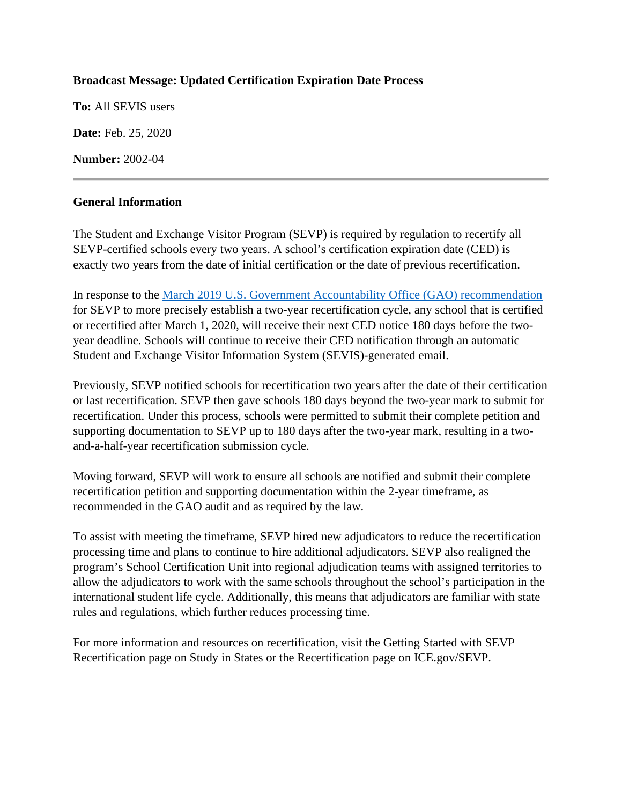## **Broadcast Message: Updated Certification Expiration Date Process**

**To:** All SEVIS users

**Date:** Feb. 25, 2020

**Number:** 2002-04

## **General Information**

The Student and Exchange Visitor Program (SEVP) is required by regulation to recertify all SEVP-certified schools every two years. A school's certification expiration date (CED) is exactly two years from the date of initial certification or the date of previous recertification.

In response to the [March 2019 U.S. Government Accountability Office \(GAO\) recommendation](https://www.gao.gov/products/gao-19-297) for SEVP to more precisely establish a two-year recertification cycle, any school that is certified or recertified after March 1, 2020, will receive their next CED notice 180 days before the twoyear deadline. Schools will continue to receive their CED notification through an automatic Student and Exchange Visitor Information System (SEVIS)-generated email.

Previously, SEVP notified schools for recertification two years after the date of their certification or last recertification. SEVP then gave schools 180 days beyond the two-year mark to submit for recertification. Under this process, schools were permitted to submit their complete petition and supporting documentation to SEVP up to 180 days after the two-year mark, resulting in a twoand-a-half-year recertification submission cycle.

Moving forward, SEVP will work to ensure all schools are notified and submit their complete recertification petition and supporting documentation within the 2-year timeframe, as recommended in the GAO audit and as required by the law.

To assist with meeting the timeframe, SEVP hired new adjudicators to reduce the recertification processing time and plans to continue to hire additional adjudicators. SEVP also realigned the program's School Certification Unit into regional adjudication teams with assigned territories to allow the adjudicators to work with the same schools throughout the school's participation in the international student life cycle. Additionally, this means that adjudicators are familiar with state rules and regulations, which further reduces processing time.

For more information and resources on recertification, visit the Getting Started with SEVP Recertification page on Study in States or the Recertification page on ICE.gov/SEVP.